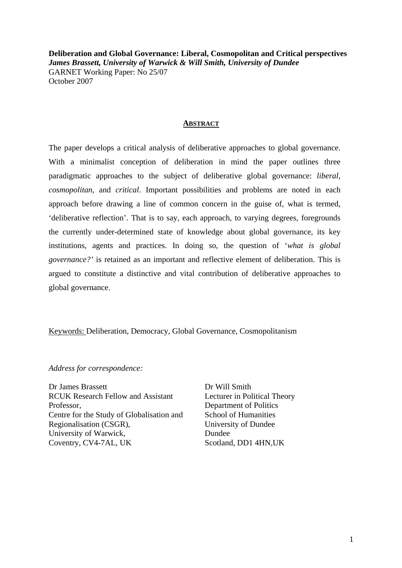**Deliberation and Global Governance: Liberal, Cosmopolitan and Critical perspectives**  *James Brassett, University of Warwick & Will Smith, University of Dundee*  GARNET Working Paper: No 25/07 October 2007

#### **ABSTRACT**

The paper develops a critical analysis of deliberative approaches to global governance. With a minimalist conception of deliberation in mind the paper outlines three paradigmatic approaches to the subject of deliberative global governance: *liberal, cosmopolitan*, and *critical*. Important possibilities and problems are noted in each approach before drawing a line of common concern in the guise of, what is termed, 'deliberative reflection'. That is to say, each approach, to varying degrees, foregrounds the currently under-determined state of knowledge about global governance, its key institutions, agents and practices. In doing so, the question of '*what is global governance?'* is retained as an important and reflective element of deliberation. This is argued to constitute a distinctive and vital contribution of deliberative approaches to global governance.

### Keywords: Deliberation, Democracy, Global Governance, Cosmopolitanism

*Address for correspondence:* 

Dr James Brassett RCUK Research Fellow and Assistant Professor, Centre for the Study of Globalisation and Regionalisation (CSGR), University of Warwick, Coventry, CV4-7AL, UK

Dr Will Smith Lecturer in Political Theory Department of Politics School of Humanities University of Dundee Dundee Scotland, DD1 4HN,UK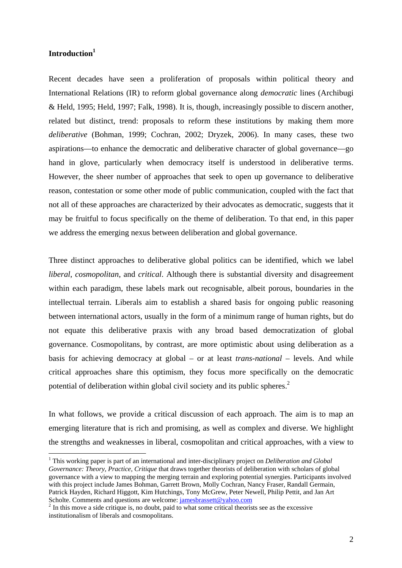# **Introduction1**

 $\overline{a}$ 

Recent decades have seen a proliferation of proposals within political theory and International Relations (IR) to reform global governance along *democratic* lines (Archibugi & Held, 1995; Held, 1997; Falk, 1998). It is, though, increasingly possible to discern another, related but distinct, trend: proposals to reform these institutions by making them more *deliberative* (Bohman, 1999; Cochran, 2002; Dryzek, 2006). In many cases, these two aspirations––to enhance the democratic and deliberative character of global governance––go hand in glove, particularly when democracy itself is understood in deliberative terms. However, the sheer number of approaches that seek to open up governance to deliberative reason, contestation or some other mode of public communication, coupled with the fact that not all of these approaches are characterized by their advocates as democratic, suggests that it may be fruitful to focus specifically on the theme of deliberation. To that end, in this paper we address the emerging nexus between deliberation and global governance.

Three distinct approaches to deliberative global politics can be identified, which we label *liberal*, *cosmopolitan*, and *critical*. Although there is substantial diversity and disagreement within each paradigm, these labels mark out recognisable, albeit porous, boundaries in the intellectual terrain. Liberals aim to establish a shared basis for ongoing public reasoning between international actors, usually in the form of a minimum range of human rights, but do not equate this deliberative praxis with any broad based democratization of global governance. Cosmopolitans, by contrast, are more optimistic about using deliberation as a basis for achieving democracy at global – or at least *trans-national* – levels. And while critical approaches share this optimism, they focus more specifically on the democratic potential of deliberation within global civil society and its public spheres.<sup>2</sup>

In what follows, we provide a critical discussion of each approach. The aim is to map an emerging literature that is rich and promising, as well as complex and diverse. We highlight the strengths and weaknesses in liberal, cosmopolitan and critical approaches, with a view to

<sup>&</sup>lt;sup>1</sup> This working paper is part of an international and inter-disciplinary project on *Deliberation and Global Governance: Theory, Practice, Critique* that draws together theorists of deliberation with scholars of global governance with a view to mapping the merging terrain and exploring potential synergies. Participants involved with this project include James Bohman, Garrett Brown, Molly Cochran, Nancy Fraser, Randall Germain, Patrick Hayden, Richard Higgott, Kim Hutchings, Tony McGrew, Peter Newell, Philip Pettit, and Jan Art Scholte. Comments and questions are welcome:  $\frac{jamesbrassett@yahoo.com}{jamesbrassett@yahoo.com}$ <br><sup>2</sup> In this move a side critique is, no doubt, paid to what some critical theorists see as the excessive

institutionalism of liberals and cosmopolitans.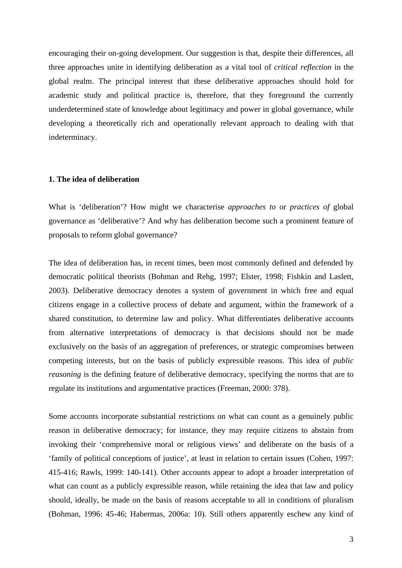encouraging their on-going development. Our suggestion is that, despite their differences, all three approaches unite in identifying deliberation as a vital tool of *critical reflection* in the global realm. The principal interest that these deliberative approaches should hold for academic study and political practice is, therefore, that they foreground the currently underdetermined state of knowledge about legitimacy and power in global governance, while developing a theoretically rich and operationally relevant approach to dealing with that indeterminacy.

### **1. The idea of deliberation**

What is 'deliberation'? How might we characterise *approaches to* or *practices of* global governance as 'deliberative'? And why has deliberation become such a prominent feature of proposals to reform global governance?

The idea of deliberation has, in recent times, been most commonly defined and defended by democratic political theorists (Bohman and Rehg, 1997; Elster, 1998; Fishkin and Laslett, 2003). Deliberative democracy denotes a system of government in which free and equal citizens engage in a collective process of debate and argument, within the framework of a shared constitution, to determine law and policy. What differentiates deliberative accounts from alternative interpretations of democracy is that decisions should not be made exclusively on the basis of an aggregation of preferences, or strategic compromises between competing interests, but on the basis of publicly expressible reasons. This idea of *public reasoning* is the defining feature of deliberative democracy, specifying the norms that are to regulate its institutions and argumentative practices (Freeman, 2000: 378).

Some accounts incorporate substantial restrictions on what can count as a genuinely public reason in deliberative democracy; for instance, they may require citizens to abstain from invoking their 'comprehensive moral or religious views' and deliberate on the basis of a 'family of political conceptions of justice', at least in relation to certain issues (Cohen, 1997: 415-416; Rawls, 1999: 140-141). Other accounts appear to adopt a broader interpretation of what can count as a publicly expressible reason, while retaining the idea that law and policy should, ideally, be made on the basis of reasons acceptable to all in conditions of pluralism (Bohman, 1996: 45-46; Habermas, 2006a: 10). Still others apparently eschew any kind of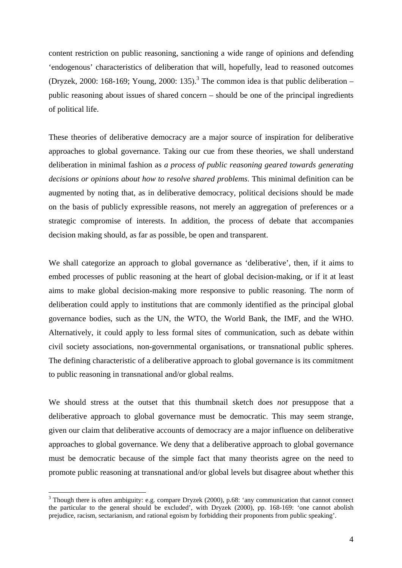content restriction on public reasoning, sanctioning a wide range of opinions and defending 'endogenous' characteristics of deliberation that will, hopefully, lead to reasoned outcomes (Dryzek, 2000: 168-169; Young, 2000: 135).<sup>3</sup> The common idea is that public deliberation – public reasoning about issues of shared concern – should be one of the principal ingredients of political life.

These theories of deliberative democracy are a major source of inspiration for deliberative approaches to global governance. Taking our cue from these theories, we shall understand deliberation in minimal fashion as *a process of public reasoning geared towards generating decisions or opinions about how to resolve shared problems*. This minimal definition can be augmented by noting that, as in deliberative democracy, political decisions should be made on the basis of publicly expressible reasons, not merely an aggregation of preferences or a strategic compromise of interests. In addition, the process of debate that accompanies decision making should, as far as possible, be open and transparent.

We shall categorize an approach to global governance as 'deliberative', then, if it aims to embed processes of public reasoning at the heart of global decision-making, or if it at least aims to make global decision-making more responsive to public reasoning. The norm of deliberation could apply to institutions that are commonly identified as the principal global governance bodies, such as the UN, the WTO, the World Bank, the IMF, and the WHO. Alternatively, it could apply to less formal sites of communication, such as debate within civil society associations, non-governmental organisations, or transnational public spheres. The defining characteristic of a deliberative approach to global governance is its commitment to public reasoning in transnational and/or global realms.

We should stress at the outset that this thumbnail sketch does *not* presuppose that a deliberative approach to global governance must be democratic. This may seem strange, given our claim that deliberative accounts of democracy are a major influence on deliberative approaches to global governance. We deny that a deliberative approach to global governance must be democratic because of the simple fact that many theorists agree on the need to promote public reasoning at transnational and/or global levels but disagree about whether this

 $3$  Though there is often ambiguity: e.g. compare Dryzek (2000), p.68: 'any communication that cannot connect the particular to the general should be excluded', with Dryzek (2000), pp. 168-169: 'one cannot abolish prejudice, racism, sectarianism, and rational egoism by forbidding their proponents from public speaking'.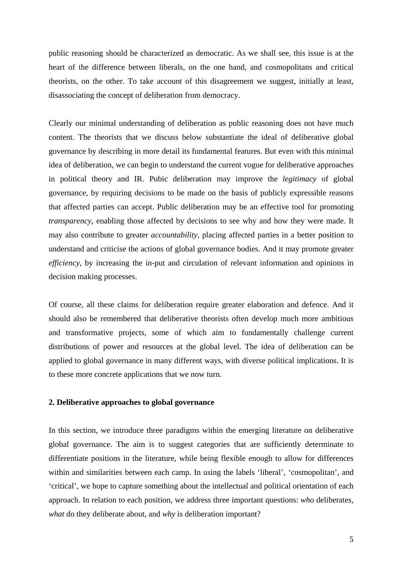public reasoning should be characterized as democratic. As we shall see, this issue is at the heart of the difference between liberals, on the one hand, and cosmopolitans and critical theorists, on the other. To take account of this disagreement we suggest, initially at least, disassociating the concept of deliberation from democracy.

Clearly our minimal understanding of deliberation as public reasoning does not have much content. The theorists that we discuss below substantiate the ideal of deliberative global governance by describing in more detail its fundamental features. But even with this minimal idea of deliberation, we can begin to understand the current vogue for deliberative approaches in political theory and IR. Pubic deliberation may improve the *legitimacy* of global governance, by requiring decisions to be made on the basis of publicly expressible reasons that affected parties can accept. Public deliberation may be an effective tool for promoting *transparency*, enabling those affected by decisions to see why and how they were made. It may also contribute to greater *accountability*, placing affected parties in a better position to understand and criticise the actions of global governance bodies. And it may promote greater *efficiency*, by increasing the in-put and circulation of relevant information and opinions in decision making processes.

Of course, all these claims for deliberation require greater elaboration and defence. And it should also be remembered that deliberative theorists often develop much more ambitious and transformative projects, some of which aim to fundamentally challenge current distributions of power and resources at the global level. The idea of deliberation can be applied to global governance in many different ways, with diverse political implications. It is to these more concrete applications that we now turn.

### **2. Deliberative approaches to global governance**

In this section, we introduce three paradigms within the emerging literature on deliberative global governance. The aim is to suggest categories that are sufficiently determinate to differentiate positions in the literature, while being flexible enough to allow for differences within and similarities between each camp. In using the labels 'liberal', 'cosmopolitan', and 'critical', we hope to capture something about the intellectual and political orientation of each approach. In relation to each position, we address three important questions: *who* deliberates, *what* do they deliberate about, and *why* is deliberation important?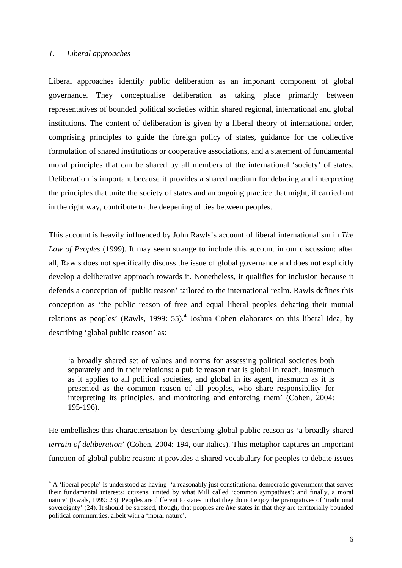### *1. Liberal approaches*

 $\overline{a}$ 

Liberal approaches identify public deliberation as an important component of global governance. They conceptualise deliberation as taking place primarily between representatives of bounded political societies within shared regional, international and global institutions. The content of deliberation is given by a liberal theory of international order, comprising principles to guide the foreign policy of states, guidance for the collective formulation of shared institutions or cooperative associations, and a statement of fundamental moral principles that can be shared by all members of the international 'society' of states. Deliberation is important because it provides a shared medium for debating and interpreting the principles that unite the society of states and an ongoing practice that might, if carried out in the right way, contribute to the deepening of ties between peoples.

This account is heavily influenced by John Rawls's account of liberal internationalism in *The Law of Peoples* (1999). It may seem strange to include this account in our discussion: after all, Rawls does not specifically discuss the issue of global governance and does not explicitly develop a deliberative approach towards it. Nonetheless, it qualifies for inclusion because it defends a conception of 'public reason' tailored to the international realm. Rawls defines this conception as 'the public reason of free and equal liberal peoples debating their mutual relations as peoples' (Rawls, 1999: 55).<sup>4</sup> Joshua Cohen elaborates on this liberal idea, by describing 'global public reason' as:

'a broadly shared set of values and norms for assessing political societies both separately and in their relations: a public reason that is global in reach, inasmuch as it applies to all political societies, and global in its agent, inasmuch as it is presented as the common reason of all peoples, who share responsibility for interpreting its principles, and monitoring and enforcing them' (Cohen, 2004: 195-196).

He embellishes this characterisation by describing global public reason as 'a broadly shared *terrain of deliberation*' (Cohen, 2004: 194, our italics). This metaphor captures an important function of global public reason: it provides a shared vocabulary for peoples to debate issues

 $4 \text{ A}$  'liberal people' is understood as having 'a reasonably just constitutional democratic government that serves their fundamental interests; citizens, united by what Mill called 'common sympathies'; and finally, a moral nature' (Rwals, 1999: 23). Peoples are different to states in that they do not enjoy the prerogatives of 'traditional sovereignty' (24). It should be stressed, though, that peoples are *like* states in that they are territorially bounded political communities, albeit with a 'moral nature'.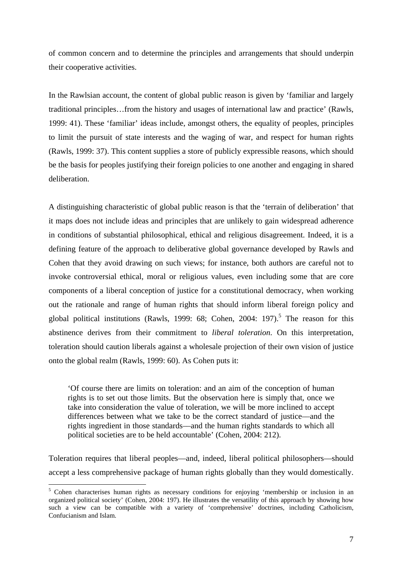of common concern and to determine the principles and arrangements that should underpin their cooperative activities.

In the Rawlsian account, the content of global public reason is given by 'familiar and largely traditional principles…from the history and usages of international law and practice' (Rawls, 1999: 41). These 'familiar' ideas include, amongst others, the equality of peoples, principles to limit the pursuit of state interests and the waging of war, and respect for human rights (Rawls, 1999: 37). This content supplies a store of publicly expressible reasons, which should be the basis for peoples justifying their foreign policies to one another and engaging in shared deliberation.

A distinguishing characteristic of global public reason is that the 'terrain of deliberation' that it maps does not include ideas and principles that are unlikely to gain widespread adherence in conditions of substantial philosophical, ethical and religious disagreement. Indeed, it is a defining feature of the approach to deliberative global governance developed by Rawls and Cohen that they avoid drawing on such views; for instance, both authors are careful not to invoke controversial ethical, moral or religious values, even including some that are core components of a liberal conception of justice for a constitutional democracy, when working out the rationale and range of human rights that should inform liberal foreign policy and global political institutions (Rawls, 1999: 68; Cohen, 2004: 197).<sup>5</sup> The reason for this abstinence derives from their commitment to *liberal toleration*. On this interpretation, toleration should caution liberals against a wholesale projection of their own vision of justice onto the global realm (Rawls, 1999: 60). As Cohen puts it:

'Of course there are limits on toleration: and an aim of the conception of human rights is to set out those limits. But the observation here is simply that, once we take into consideration the value of toleration, we will be more inclined to accept differences between what we take to be the correct standard of justice––and the rights ingredient in those standards––and the human rights standards to which all political societies are to be held accountable' (Cohen, 2004: 212).

Toleration requires that liberal peoples––and, indeed, liberal political philosophers––should accept a less comprehensive package of human rights globally than they would domestically.

<sup>&</sup>lt;sup>5</sup> Cohen characterises human rights as necessary conditions for enjoying 'membership or inclusion in an organized political society' (Cohen, 2004: 197). He illustrates the versatility of this approach by showing how such a view can be compatible with a variety of 'comprehensive' doctrines, including Catholicism, Confucianism and Islam.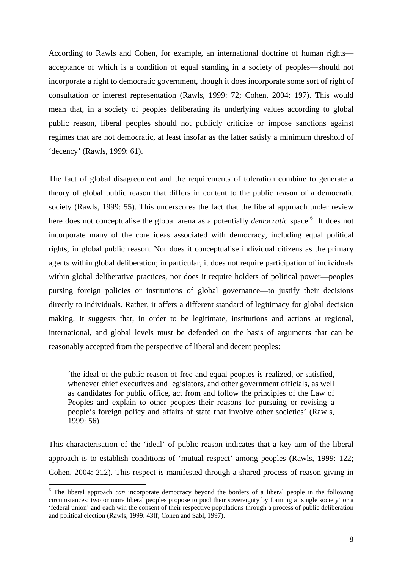According to Rawls and Cohen, for example, an international doctrine of human rights acceptance of which is a condition of equal standing in a society of peoples––should not incorporate a right to democratic government, though it does incorporate some sort of right of consultation or interest representation (Rawls, 1999: 72; Cohen, 2004: 197). This would mean that, in a society of peoples deliberating its underlying values according to global public reason, liberal peoples should not publicly criticize or impose sanctions against regimes that are not democratic, at least insofar as the latter satisfy a minimum threshold of 'decency' (Rawls, 1999: 61).

The fact of global disagreement and the requirements of toleration combine to generate a theory of global public reason that differs in content to the public reason of a democratic society (Rawls, 1999: 55). This underscores the fact that the liberal approach under review here does not conceptualise the global arena as a potentially *democratic* space.<sup>6</sup> It does not incorporate many of the core ideas associated with democracy, including equal political rights, in global public reason. Nor does it conceptualise individual citizens as the primary agents within global deliberation; in particular, it does not require participation of individuals within global deliberative practices, nor does it require holders of political power—peoples pursing foreign policies or institutions of global governance––to justify their decisions directly to individuals. Rather, it offers a different standard of legitimacy for global decision making. It suggests that, in order to be legitimate, institutions and actions at regional, international, and global levels must be defended on the basis of arguments that can be reasonably accepted from the perspective of liberal and decent peoples:

'the ideal of the public reason of free and equal peoples is realized, or satisfied, whenever chief executives and legislators, and other government officials, as well as candidates for public office, act from and follow the principles of the Law of Peoples and explain to other peoples their reasons for pursuing or revising a people's foreign policy and affairs of state that involve other societies' (Rawls, 1999: 56).

This characterisation of the 'ideal' of public reason indicates that a key aim of the liberal approach is to establish conditions of 'mutual respect' among peoples (Rawls, 1999: 122; Cohen, 2004: 212). This respect is manifested through a shared process of reason giving in

<sup>&</sup>lt;sup>6</sup> The liberal approach *can* incorporate democracy beyond the borders of a liberal people in the following circumstances: two or more liberal peoples propose to pool their sovereignty by forming a 'single society' or a 'federal union' and each win the consent of their respective populations through a process of public deliberation and political election (Rawls, 1999: 43ff; Cohen and Sabl, 1997).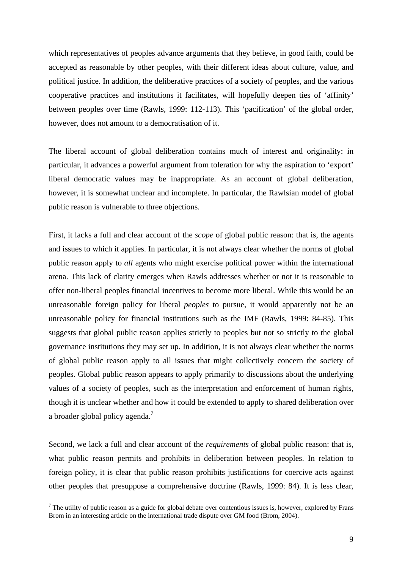which representatives of peoples advance arguments that they believe, in good faith, could be accepted as reasonable by other peoples, with their different ideas about culture, value, and political justice. In addition, the deliberative practices of a society of peoples, and the various cooperative practices and institutions it facilitates, will hopefully deepen ties of 'affinity' between peoples over time (Rawls, 1999: 112-113). This 'pacification' of the global order, however, does not amount to a democratisation of it.

The liberal account of global deliberation contains much of interest and originality: in particular, it advances a powerful argument from toleration for why the aspiration to 'export' liberal democratic values may be inappropriate. As an account of global deliberation, however, it is somewhat unclear and incomplete. In particular, the Rawlsian model of global public reason is vulnerable to three objections.

First, it lacks a full and clear account of the *scope* of global public reason: that is, the agents and issues to which it applies. In particular, it is not always clear whether the norms of global public reason apply to *all* agents who might exercise political power within the international arena. This lack of clarity emerges when Rawls addresses whether or not it is reasonable to offer non-liberal peoples financial incentives to become more liberal. While this would be an unreasonable foreign policy for liberal *peoples* to pursue, it would apparently not be an unreasonable policy for financial institutions such as the IMF (Rawls, 1999: 84-85). This suggests that global public reason applies strictly to peoples but not so strictly to the global governance institutions they may set up. In addition, it is not always clear whether the norms of global public reason apply to all issues that might collectively concern the society of peoples. Global public reason appears to apply primarily to discussions about the underlying values of a society of peoples, such as the interpretation and enforcement of human rights, though it is unclear whether and how it could be extended to apply to shared deliberation over a broader global policy agenda.<sup>7</sup>

Second, we lack a full and clear account of the *requirements* of global public reason: that is, what public reason permits and prohibits in deliberation between peoples. In relation to foreign policy, it is clear that public reason prohibits justifications for coercive acts against other peoples that presuppose a comprehensive doctrine (Rawls, 1999: 84). It is less clear,

 $<sup>7</sup>$  The utility of public reason as a guide for global debate over contentious issues is, however, explored by Frans</sup> Brom in an interesting article on the international trade dispute over GM food (Brom, 2004).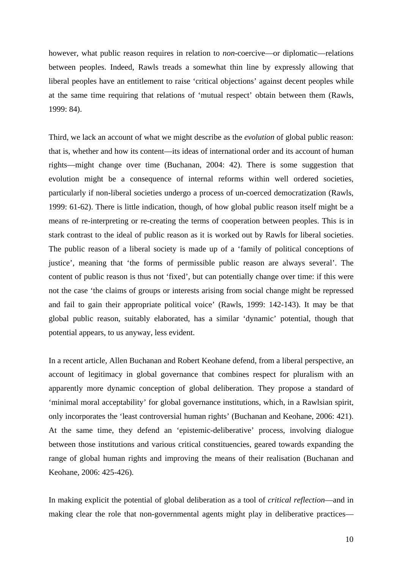however, what public reason requires in relation to *non*-coercive—or diplomatic—relations between peoples. Indeed, Rawls treads a somewhat thin line by expressly allowing that liberal peoples have an entitlement to raise 'critical objections' against decent peoples while at the same time requiring that relations of 'mutual respect' obtain between them (Rawls, 1999: 84).

Third, we lack an account of what we might describe as the *evolution* of global public reason: that is, whether and how its content––its ideas of international order and its account of human rights––might change over time (Buchanan, 2004: 42). There is some suggestion that evolution might be a consequence of internal reforms within well ordered societies, particularly if non-liberal societies undergo a process of un-coerced democratization (Rawls, 1999: 61-62). There is little indication, though, of how global public reason itself might be a means of re-interpreting or re-creating the terms of cooperation between peoples. This is in stark contrast to the ideal of public reason as it is worked out by Rawls for liberal societies. The public reason of a liberal society is made up of a 'family of political conceptions of justice', meaning that 'the forms of permissible public reason are always several'. The content of public reason is thus not 'fixed', but can potentially change over time: if this were not the case 'the claims of groups or interests arising from social change might be repressed and fail to gain their appropriate political voice' (Rawls, 1999: 142-143). It may be that global public reason, suitably elaborated, has a similar 'dynamic' potential, though that potential appears, to us anyway, less evident.

In a recent article, Allen Buchanan and Robert Keohane defend, from a liberal perspective, an account of legitimacy in global governance that combines respect for pluralism with an apparently more dynamic conception of global deliberation. They propose a standard of 'minimal moral acceptability' for global governance institutions, which, in a Rawlsian spirit, only incorporates the 'least controversial human rights' (Buchanan and Keohane, 2006: 421). At the same time, they defend an 'epistemic-deliberative' process, involving dialogue between those institutions and various critical constituencies, geared towards expanding the range of global human rights and improving the means of their realisation (Buchanan and Keohane, 2006: 425-426).

In making explicit the potential of global deliberation as a tool of *critical reflection*––and in making clear the role that non-governmental agents might play in deliberative practices––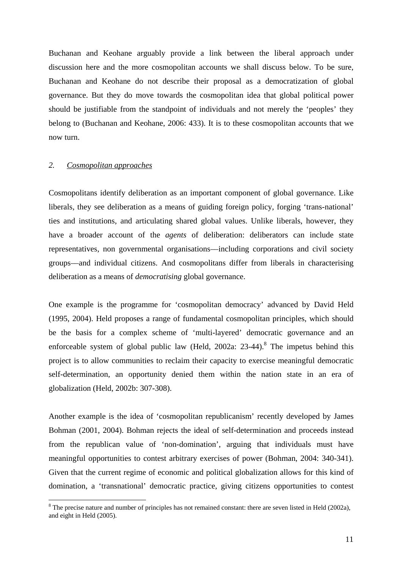Buchanan and Keohane arguably provide a link between the liberal approach under discussion here and the more cosmopolitan accounts we shall discuss below. To be sure, Buchanan and Keohane do not describe their proposal as a democratization of global governance. But they do move towards the cosmopolitan idea that global political power should be justifiable from the standpoint of individuals and not merely the 'peoples' they belong to (Buchanan and Keohane, 2006: 433). It is to these cosmopolitan accounts that we now turn.

#### *2. Cosmopolitan approaches*

 $\overline{a}$ 

Cosmopolitans identify deliberation as an important component of global governance. Like liberals, they see deliberation as a means of guiding foreign policy, forging 'trans-national' ties and institutions, and articulating shared global values. Unlike liberals, however, they have a broader account of the *agents* of deliberation: deliberators can include state representatives, non governmental organisations––including corporations and civil society groups––and individual citizens. And cosmopolitans differ from liberals in characterising deliberation as a means of *democratising* global governance.

One example is the programme for 'cosmopolitan democracy' advanced by David Held (1995, 2004). Held proposes a range of fundamental cosmopolitan principles, which should be the basis for a complex scheme of 'multi-layered' democratic governance and an enforceable system of global public law (Held, 2002a:  $23-44$ ).<sup>8</sup> The impetus behind this project is to allow communities to reclaim their capacity to exercise meaningful democratic self-determination, an opportunity denied them within the nation state in an era of globalization (Held, 2002b: 307-308).

Another example is the idea of 'cosmopolitan republicanism' recently developed by James Bohman (2001, 2004). Bohman rejects the ideal of self-determination and proceeds instead from the republican value of 'non-domination', arguing that individuals must have meaningful opportunities to contest arbitrary exercises of power (Bohman, 2004: 340-341). Given that the current regime of economic and political globalization allows for this kind of domination, a 'transnational' democratic practice, giving citizens opportunities to contest

 $8$  The precise nature and number of principles has not remained constant: there are seven listed in Held (2002a), and eight in Held (2005).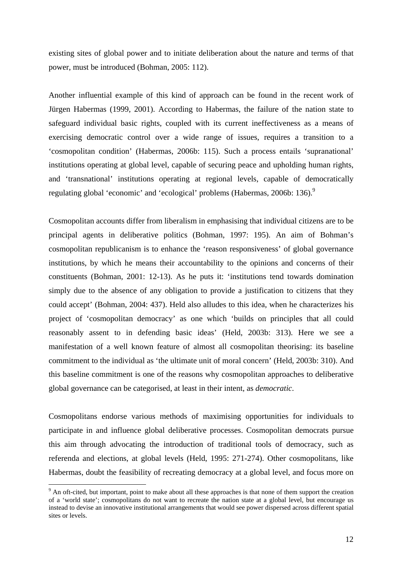existing sites of global power and to initiate deliberation about the nature and terms of that power, must be introduced (Bohman, 2005: 112).

Another influential example of this kind of approach can be found in the recent work of Jürgen Habermas (1999, 2001). According to Habermas, the failure of the nation state to safeguard individual basic rights, coupled with its current ineffectiveness as a means of exercising democratic control over a wide range of issues, requires a transition to a 'cosmopolitan condition' (Habermas, 2006b: 115). Such a process entails 'supranational' institutions operating at global level, capable of securing peace and upholding human rights, and 'transnational' institutions operating at regional levels, capable of democratically regulating global 'economic' and 'ecological' problems (Habermas, 2006b: 136).<sup>9</sup>

Cosmopolitan accounts differ from liberalism in emphasising that individual citizens are to be principal agents in deliberative politics (Bohman, 1997: 195). An aim of Bohman's cosmopolitan republicanism is to enhance the 'reason responsiveness' of global governance institutions, by which he means their accountability to the opinions and concerns of their constituents (Bohman, 2001: 12-13). As he puts it: 'institutions tend towards domination simply due to the absence of any obligation to provide a justification to citizens that they could accept' (Bohman, 2004: 437). Held also alludes to this idea, when he characterizes his project of 'cosmopolitan democracy' as one which 'builds on principles that all could reasonably assent to in defending basic ideas' (Held, 2003b: 313). Here we see a manifestation of a well known feature of almost all cosmopolitan theorising: its baseline commitment to the individual as 'the ultimate unit of moral concern' (Held, 2003b: 310). And this baseline commitment is one of the reasons why cosmopolitan approaches to deliberative global governance can be categorised, at least in their intent, as *democratic*.

Cosmopolitans endorse various methods of maximising opportunities for individuals to participate in and influence global deliberative processes. Cosmopolitan democrats pursue this aim through advocating the introduction of traditional tools of democracy, such as referenda and elections, at global levels (Held, 1995: 271-274). Other cosmopolitans, like Habermas, doubt the feasibility of recreating democracy at a global level, and focus more on

 $9<sup>9</sup>$  An oft-cited, but important, point to make about all these approaches is that none of them support the creation of a 'world state'; cosmopolitans do not want to recreate the nation state at a global level, but encourage us instead to devise an innovative institutional arrangements that would see power dispersed across different spatial sites or levels.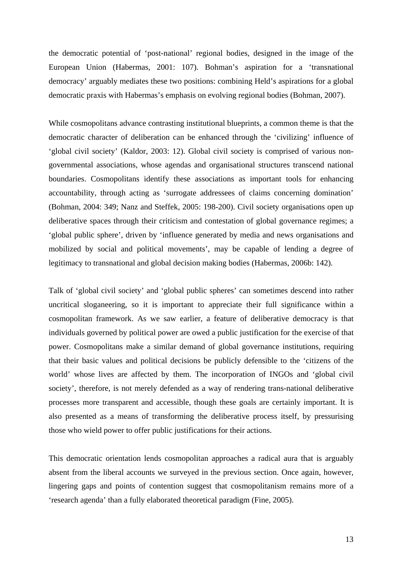the democratic potential of 'post-national' regional bodies, designed in the image of the European Union (Habermas, 2001: 107). Bohman's aspiration for a 'transnational democracy' arguably mediates these two positions: combining Held's aspirations for a global democratic praxis with Habermas's emphasis on evolving regional bodies (Bohman, 2007).

While cosmopolitans advance contrasting institutional blueprints, a common theme is that the democratic character of deliberation can be enhanced through the 'civilizing' influence of 'global civil society' (Kaldor, 2003: 12). Global civil society is comprised of various nongovernmental associations, whose agendas and organisational structures transcend national boundaries. Cosmopolitans identify these associations as important tools for enhancing accountability, through acting as 'surrogate addressees of claims concerning domination' (Bohman, 2004: 349; Nanz and Steffek, 2005: 198-200). Civil society organisations open up deliberative spaces through their criticism and contestation of global governance regimes; a 'global public sphere', driven by 'influence generated by media and news organisations and mobilized by social and political movements', may be capable of lending a degree of legitimacy to transnational and global decision making bodies (Habermas, 2006b: 142).

Talk of 'global civil society' and 'global public spheres' can sometimes descend into rather uncritical sloganeering, so it is important to appreciate their full significance within a cosmopolitan framework. As we saw earlier, a feature of deliberative democracy is that individuals governed by political power are owed a public justification for the exercise of that power. Cosmopolitans make a similar demand of global governance institutions, requiring that their basic values and political decisions be publicly defensible to the 'citizens of the world' whose lives are affected by them. The incorporation of INGOs and 'global civil society', therefore, is not merely defended as a way of rendering trans-national deliberative processes more transparent and accessible, though these goals are certainly important. It is also presented as a means of transforming the deliberative process itself, by pressurising those who wield power to offer public justifications for their actions.

This democratic orientation lends cosmopolitan approaches a radical aura that is arguably absent from the liberal accounts we surveyed in the previous section. Once again, however, lingering gaps and points of contention suggest that cosmopolitanism remains more of a 'research agenda' than a fully elaborated theoretical paradigm (Fine, 2005).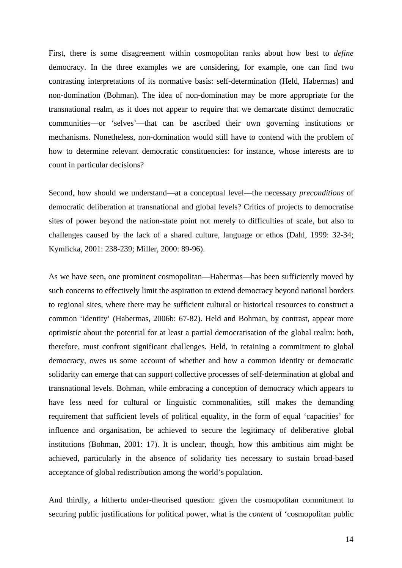First, there is some disagreement within cosmopolitan ranks about how best to *define*  democracy. In the three examples we are considering, for example, one can find two contrasting interpretations of its normative basis: self-determination (Held, Habermas) and non-domination (Bohman). The idea of non-domination may be more appropriate for the transnational realm, as it does not appear to require that we demarcate distinct democratic communities––or 'selves'––that can be ascribed their own governing institutions or mechanisms. Nonetheless, non-domination would still have to contend with the problem of how to determine relevant democratic constituencies: for instance, whose interests are to count in particular decisions?

Second, how should we understand––at a conceptual level––the necessary *preconditions* of democratic deliberation at transnational and global levels? Critics of projects to democratise sites of power beyond the nation-state point not merely to difficulties of scale, but also to challenges caused by the lack of a shared culture, language or ethos (Dahl, 1999: 32-34; Kymlicka, 2001: 238-239; Miller, 2000: 89-96).

As we have seen, one prominent cosmopolitan––Habermas––has been sufficiently moved by such concerns to effectively limit the aspiration to extend democracy beyond national borders to regional sites, where there may be sufficient cultural or historical resources to construct a common 'identity' (Habermas, 2006b: 67-82). Held and Bohman, by contrast, appear more optimistic about the potential for at least a partial democratisation of the global realm: both, therefore, must confront significant challenges. Held, in retaining a commitment to global democracy, owes us some account of whether and how a common identity or democratic solidarity can emerge that can support collective processes of self-determination at global and transnational levels. Bohman, while embracing a conception of democracy which appears to have less need for cultural or linguistic commonalities, still makes the demanding requirement that sufficient levels of political equality, in the form of equal 'capacities' for influence and organisation, be achieved to secure the legitimacy of deliberative global institutions (Bohman, 2001: 17). It is unclear, though, how this ambitious aim might be achieved, particularly in the absence of solidarity ties necessary to sustain broad-based acceptance of global redistribution among the world's population.

And thirdly, a hitherto under-theorised question: given the cosmopolitan commitment to securing public justifications for political power, what is the *content* of 'cosmopolitan public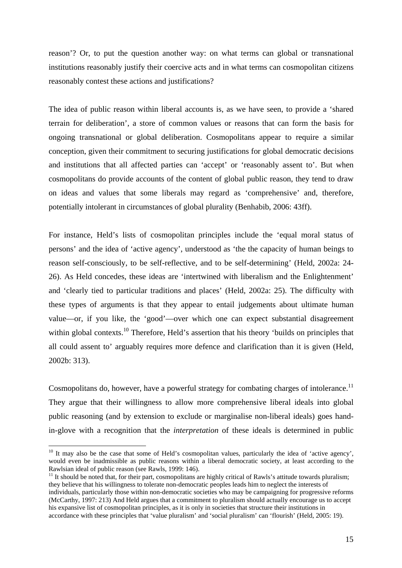reason'? Or, to put the question another way: on what terms can global or transnational institutions reasonably justify their coercive acts and in what terms can cosmopolitan citizens reasonably contest these actions and justifications?

The idea of public reason within liberal accounts is, as we have seen, to provide a 'shared terrain for deliberation', a store of common values or reasons that can form the basis for ongoing transnational or global deliberation. Cosmopolitans appear to require a similar conception, given their commitment to securing justifications for global democratic decisions and institutions that all affected parties can 'accept' or 'reasonably assent to'. But when cosmopolitans do provide accounts of the content of global public reason, they tend to draw on ideas and values that some liberals may regard as 'comprehensive' and, therefore, potentially intolerant in circumstances of global plurality (Benhabib, 2006: 43ff).

For instance, Held's lists of cosmopolitan principles include the 'equal moral status of persons' and the idea of 'active agency', understood as 'the the capacity of human beings to reason self-consciously, to be self-reflective, and to be self-determining' (Held, 2002a: 24- 26). As Held concedes, these ideas are 'intertwined with liberalism and the Enlightenment' and 'clearly tied to particular traditions and places' (Held, 2002a: 25). The difficulty with these types of arguments is that they appear to entail judgements about ultimate human value––or, if you like, the 'good'––over which one can expect substantial disagreement within global contexts.<sup>10</sup> Therefore, Held's assertion that his theory 'builds on principles that all could assent to' arguably requires more defence and clarification than it is given (Held, 2002b: 313).

Cosmopolitans do, however, have a powerful strategy for combating charges of intolerance.<sup>11</sup> They argue that their willingness to allow more comprehensive liberal ideals into global public reasoning (and by extension to exclude or marginalise non-liberal ideals) goes handin-glove with a recognition that the *interpretation* of these ideals is determined in public

 $\overline{a}$ 

 $11$  It should be noted that, for their part, cosmopolitans are highly critical of Rawls's attitude towards pluralism; they believe that his willingness to tolerate non-democratic peoples leads him to neglect the interests of individuals, particularly those within non-democratic societies who may be campaigning for progressive reforms (McCarthy, 1997: 213) And Held argues that a commitment to pluralism should actually encourage us to accept his expansive list of cosmopolitan principles, as it is only in societies that structure their institutions in accordance with these principles that 'value pluralism' and 'social pluralism' can 'flourish' (Held, 2005: 19).

<sup>&</sup>lt;sup>10</sup> It may also be the case that some of Held's cosmopolitan values, particularly the idea of 'active agency', would even be inadmissible as public reasons within a liberal democratic society, at least according to the Rawlsian ideal of public reason (see Rawls, 1999: 146).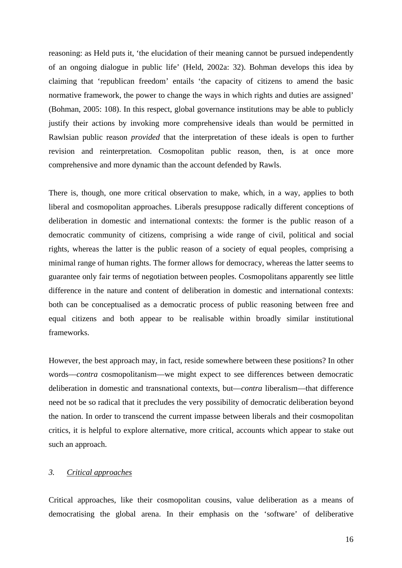reasoning: as Held puts it, 'the elucidation of their meaning cannot be pursued independently of an ongoing dialogue in public life' (Held, 2002a: 32). Bohman develops this idea by claiming that 'republican freedom' entails 'the capacity of citizens to amend the basic normative framework, the power to change the ways in which rights and duties are assigned' (Bohman, 2005: 108). In this respect, global governance institutions may be able to publicly justify their actions by invoking more comprehensive ideals than would be permitted in Rawlsian public reason *provided* that the interpretation of these ideals is open to further revision and reinterpretation. Cosmopolitan public reason, then, is at once more comprehensive and more dynamic than the account defended by Rawls.

There is, though, one more critical observation to make, which, in a way, applies to both liberal and cosmopolitan approaches. Liberals presuppose radically different conceptions of deliberation in domestic and international contexts: the former is the public reason of a democratic community of citizens, comprising a wide range of civil, political and social rights, whereas the latter is the public reason of a society of equal peoples, comprising a minimal range of human rights. The former allows for democracy, whereas the latter seems to guarantee only fair terms of negotiation between peoples. Cosmopolitans apparently see little difference in the nature and content of deliberation in domestic and international contexts: both can be conceptualised as a democratic process of public reasoning between free and equal citizens and both appear to be realisable within broadly similar institutional frameworks.

However, the best approach may, in fact, reside somewhere between these positions? In other words––*contra* cosmopolitanism––we might expect to see differences between democratic deliberation in domestic and transnational contexts, but––*contra* liberalism––that difference need not be so radical that it precludes the very possibility of democratic deliberation beyond the nation. In order to transcend the current impasse between liberals and their cosmopolitan critics, it is helpful to explore alternative, more critical, accounts which appear to stake out such an approach.

### *3. Critical approaches*

Critical approaches, like their cosmopolitan cousins, value deliberation as a means of democratising the global arena. In their emphasis on the 'software' of deliberative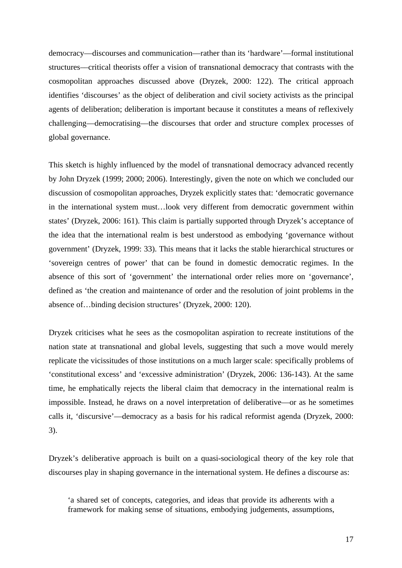democracy––discourses and communication––rather than its 'hardware'––formal institutional structures––critical theorists offer a vision of transnational democracy that contrasts with the cosmopolitan approaches discussed above (Dryzek, 2000: 122). The critical approach identifies 'discourses' as the object of deliberation and civil society activists as the principal agents of deliberation; deliberation is important because it constitutes a means of reflexively challenging––democratising––the discourses that order and structure complex processes of global governance.

This sketch is highly influenced by the model of transnational democracy advanced recently by John Dryzek (1999; 2000; 2006). Interestingly, given the note on which we concluded our discussion of cosmopolitan approaches, Dryzek explicitly states that: 'democratic governance in the international system must…look very different from democratic government within states' (Dryzek, 2006: 161). This claim is partially supported through Dryzek's acceptance of the idea that the international realm is best understood as embodying 'governance without government' (Dryzek, 1999: 33). This means that it lacks the stable hierarchical structures or 'sovereign centres of power' that can be found in domestic democratic regimes. In the absence of this sort of 'government' the international order relies more on 'governance', defined as 'the creation and maintenance of order and the resolution of joint problems in the absence of…binding decision structures' (Dryzek, 2000: 120).

Dryzek criticises what he sees as the cosmopolitan aspiration to recreate institutions of the nation state at transnational and global levels, suggesting that such a move would merely replicate the vicissitudes of those institutions on a much larger scale: specifically problems of 'constitutional excess' and 'excessive administration' (Dryzek, 2006: 136-143). At the same time, he emphatically rejects the liberal claim that democracy in the international realm is impossible. Instead, he draws on a novel interpretation of deliberative––or as he sometimes calls it, 'discursive'––democracy as a basis for his radical reformist agenda (Dryzek, 2000: 3).

Dryzek's deliberative approach is built on a quasi-sociological theory of the key role that discourses play in shaping governance in the international system. He defines a discourse as:

'a shared set of concepts, categories, and ideas that provide its adherents with a framework for making sense of situations, embodying judgements, assumptions,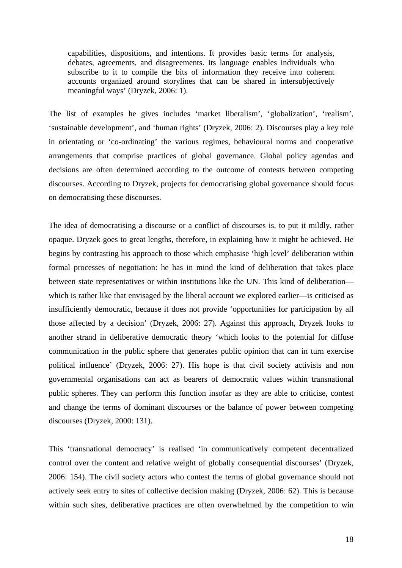capabilities, dispositions, and intentions. It provides basic terms for analysis, debates, agreements, and disagreements. Its language enables individuals who subscribe to it to compile the bits of information they receive into coherent accounts organized around storylines that can be shared in intersubjectively meaningful ways' (Dryzek, 2006: 1).

The list of examples he gives includes 'market liberalism', 'globalization', 'realism', 'sustainable development', and 'human rights' (Dryzek, 2006: 2). Discourses play a key role in orientating or 'co-ordinating' the various regimes, behavioural norms and cooperative arrangements that comprise practices of global governance. Global policy agendas and decisions are often determined according to the outcome of contests between competing discourses. According to Dryzek, projects for democratising global governance should focus on democratising these discourses.

The idea of democratising a discourse or a conflict of discourses is, to put it mildly, rather opaque. Dryzek goes to great lengths, therefore, in explaining how it might be achieved. He begins by contrasting his approach to those which emphasise 'high level' deliberation within formal processes of negotiation: he has in mind the kind of deliberation that takes place between state representatives or within institutions like the UN. This kind of deliberation–– which is rather like that envisaged by the liberal account we explored earlier—is criticised as insufficiently democratic, because it does not provide 'opportunities for participation by all those affected by a decision' (Dryzek, 2006: 27). Against this approach, Dryzek looks to another strand in deliberative democratic theory 'which looks to the potential for diffuse communication in the public sphere that generates public opinion that can in turn exercise political influence' (Dryzek, 2006: 27). His hope is that civil society activists and non governmental organisations can act as bearers of democratic values within transnational public spheres. They can perform this function insofar as they are able to criticise, contest and change the terms of dominant discourses or the balance of power between competing discourses (Dryzek, 2000: 131).

This 'transnational democracy' is realised 'in communicatively competent decentralized control over the content and relative weight of globally consequential discourses' (Dryzek, 2006: 154). The civil society actors who contest the terms of global governance should not actively seek entry to sites of collective decision making (Dryzek, 2006: 62). This is because within such sites, deliberative practices are often overwhelmed by the competition to win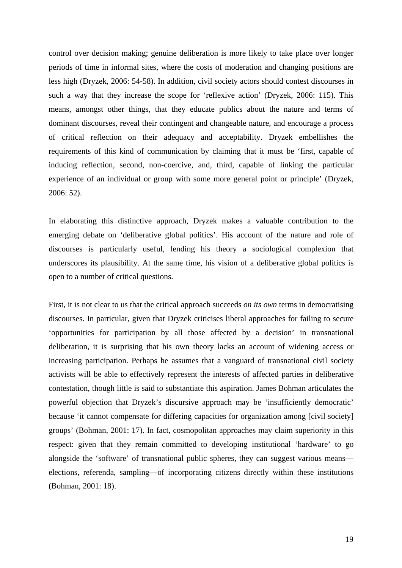control over decision making; genuine deliberation is more likely to take place over longer periods of time in informal sites, where the costs of moderation and changing positions are less high (Dryzek, 2006: 54-58). In addition, civil society actors should contest discourses in such a way that they increase the scope for 'reflexive action' (Dryzek, 2006: 115). This means, amongst other things, that they educate publics about the nature and terms of dominant discourses, reveal their contingent and changeable nature, and encourage a process of critical reflection on their adequacy and acceptability. Dryzek embellishes the requirements of this kind of communication by claiming that it must be 'first, capable of inducing reflection, second, non-coercive, and, third, capable of linking the particular experience of an individual or group with some more general point or principle' (Dryzek, 2006: 52).

In elaborating this distinctive approach, Dryzek makes a valuable contribution to the emerging debate on 'deliberative global politics'. His account of the nature and role of discourses is particularly useful, lending his theory a sociological complexion that underscores its plausibility. At the same time, his vision of a deliberative global politics is open to a number of critical questions.

First, it is not clear to us that the critical approach succeeds *on its own* terms in democratising discourses. In particular, given that Dryzek criticises liberal approaches for failing to secure 'opportunities for participation by all those affected by a decision' in transnational deliberation, it is surprising that his own theory lacks an account of widening access or increasing participation. Perhaps he assumes that a vanguard of transnational civil society activists will be able to effectively represent the interests of affected parties in deliberative contestation, though little is said to substantiate this aspiration. James Bohman articulates the powerful objection that Dryzek's discursive approach may be 'insufficiently democratic' because 'it cannot compensate for differing capacities for organization among [civil society] groups' (Bohman, 2001: 17). In fact, cosmopolitan approaches may claim superiority in this respect: given that they remain committed to developing institutional 'hardware' to go alongside the 'software' of transnational public spheres, they can suggest various means–– elections, referenda, sampling––of incorporating citizens directly within these institutions (Bohman, 2001: 18).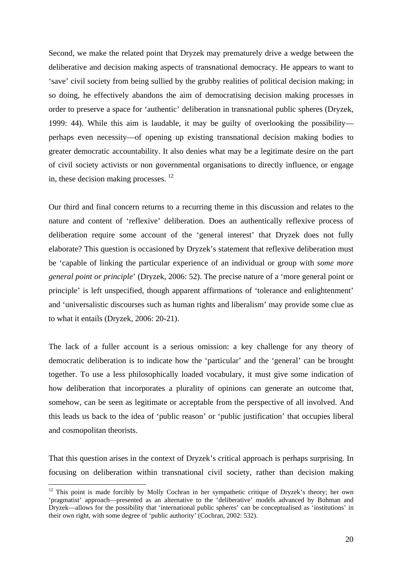Second, we make the related point that Dryzek may prematurely drive a wedge between the deliberative and decision making aspects of transnational democracy. He appears to want to 'save' civil society from being sullied by the grubby realities of political decision making; in so doing, he effectively abandons the aim of democratising decision making processes in order to preserve a space for 'authentic' deliberation in transnational public spheres (Dryzek, 1999: 44). While this aim is laudable, it may be guilty of overlooking the possibility–– perhaps even necessity––of opening up existing transnational decision making bodies to greater democratic accountability. It also denies what may be a legitimate desire on the part of civil society activists or non governmental organisations to directly influence, or engage in, these decision making processes. 12

Our third and final concern returns to a recurring theme in this discussion and relates to the nature and content of 'reflexive' deliberation. Does an authentically reflexive process of deliberation require some account of the 'general interest' that Dryzek does not fully elaborate? This question is occasioned by Dryzek's statement that reflexive deliberation must be 'capable of linking the particular experience of an individual or group with *some more general point or principle*' (Dryzek, 2006: 52). The precise nature of a 'more general point or principle' is left unspecified, though apparent affirmations of 'tolerance and enlightenment' and 'universalistic discourses such as human rights and liberalism' may provide some clue as to what it entails (Dryzek, 2006: 20-21).

The lack of a fuller account is a serious omission: a key challenge for any theory of democratic deliberation is to indicate how the 'particular' and the 'general' can be brought together. To use a less philosophically loaded vocabulary, it must give some indication of how deliberation that incorporates a plurality of opinions can generate an outcome that, somehow, can be seen as legitimate or acceptable from the perspective of all involved. And this leads us back to the idea of 'public reason' or 'public justification' that occupies liberal and cosmopolitan theorists.

That this question arises in the context of Dryzek's critical approach is perhaps surprising. In focusing on deliberation within transnational civil society, rather than decision making

 $12$  This point is made forcibly by Molly Cochran in her sympathetic critique of Dryzek's theory; her own 'pragmatist' approach––presented as an alternative to the 'deliberative' models advanced by Bohman and Dryzek––allows for the possibility that 'international public spheres' can be conceptualised as 'institutions' in their own right, with some degree of 'public authority' (Cochran, 2002: 532).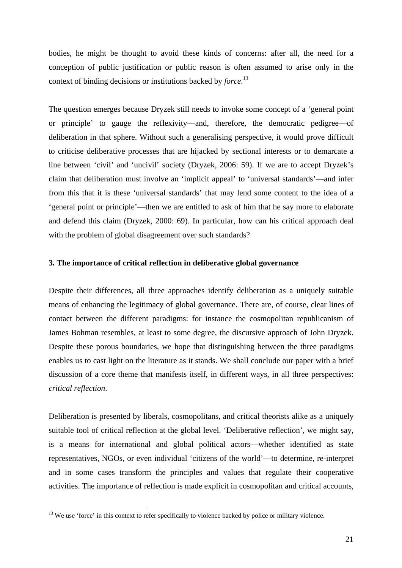bodies, he might be thought to avoid these kinds of concerns: after all, the need for a conception of public justification or public reason is often assumed to arise only in the context of binding decisions or institutions backed by *force*. 13

The question emerges because Dryzek still needs to invoke some concept of a 'general point or principle' to gauge the reflexivity––and, therefore, the democratic pedigree––of deliberation in that sphere. Without such a generalising perspective, it would prove difficult to criticise deliberative processes that are hijacked by sectional interests or to demarcate a line between 'civil' and 'uncivil' society (Dryzek, 2006: 59). If we are to accept Dryzek's claim that deliberation must involve an 'implicit appeal' to 'universal standards'––and infer from this that it is these 'universal standards' that may lend some content to the idea of a 'general point or principle'––then we are entitled to ask of him that he say more to elaborate and defend this claim (Dryzek, 2000: 69). In particular, how can his critical approach deal with the problem of global disagreement over such standards?

### **3. The importance of critical reflection in deliberative global governance**

Despite their differences, all three approaches identify deliberation as a uniquely suitable means of enhancing the legitimacy of global governance. There are, of course, clear lines of contact between the different paradigms: for instance the cosmopolitan republicanism of James Bohman resembles, at least to some degree, the discursive approach of John Dryzek. Despite these porous boundaries, we hope that distinguishing between the three paradigms enables us to cast light on the literature as it stands. We shall conclude our paper with a brief discussion of a core theme that manifests itself, in different ways, in all three perspectives: *critical reflection*.

Deliberation is presented by liberals, cosmopolitans, and critical theorists alike as a uniquely suitable tool of critical reflection at the global level. 'Deliberative reflection', we might say, is a means for international and global political actors––whether identified as state representatives, NGOs, or even individual 'citizens of the world'––to determine, re-interpret and in some cases transform the principles and values that regulate their cooperative activities. The importance of reflection is made explicit in cosmopolitan and critical accounts,

<sup>&</sup>lt;sup>13</sup> We use 'force' in this context to refer specifically to violence backed by police or military violence.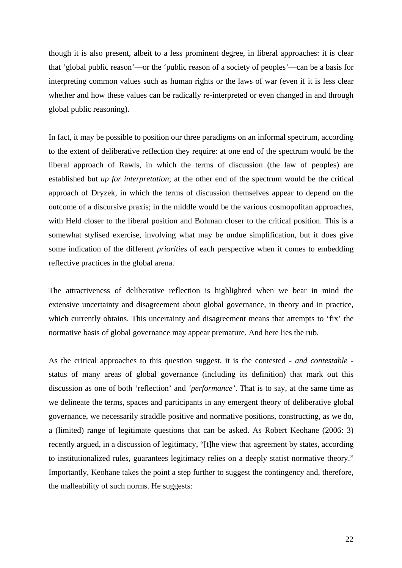though it is also present, albeit to a less prominent degree, in liberal approaches: it is clear that 'global public reason'––or the 'public reason of a society of peoples'––can be a basis for interpreting common values such as human rights or the laws of war (even if it is less clear whether and how these values can be radically re-interpreted or even changed in and through global public reasoning).

In fact, it may be possible to position our three paradigms on an informal spectrum, according to the extent of deliberative reflection they require: at one end of the spectrum would be the liberal approach of Rawls, in which the terms of discussion (the law of peoples) are established but *up for interpretation*; at the other end of the spectrum would be the critical approach of Dryzek, in which the terms of discussion themselves appear to depend on the outcome of a discursive praxis; in the middle would be the various cosmopolitan approaches, with Held closer to the liberal position and Bohman closer to the critical position. This is a somewhat stylised exercise, involving what may be undue simplification, but it does give some indication of the different *priorities* of each perspective when it comes to embedding reflective practices in the global arena.

The attractiveness of deliberative reflection is highlighted when we bear in mind the extensive uncertainty and disagreement about global governance, in theory and in practice, which currently obtains. This uncertainty and disagreement means that attempts to 'fix' the normative basis of global governance may appear premature. And here lies the rub.

As the critical approaches to this question suggest, it is the contested - *and contestable* status of many areas of global governance (including its definition) that mark out this discussion as one of both 'reflection' and *'performance'*. That is to say, at the same time as we delineate the terms, spaces and participants in any emergent theory of deliberative global governance, we necessarily straddle positive and normative positions, constructing, as we do, a (limited) range of legitimate questions that can be asked. As Robert Keohane (2006: 3) recently argued, in a discussion of legitimacy, "[t]he view that agreement by states, according to institutionalized rules, guarantees legitimacy relies on a deeply statist normative theory." Importantly, Keohane takes the point a step further to suggest the contingency and, therefore, the malleability of such norms. He suggests: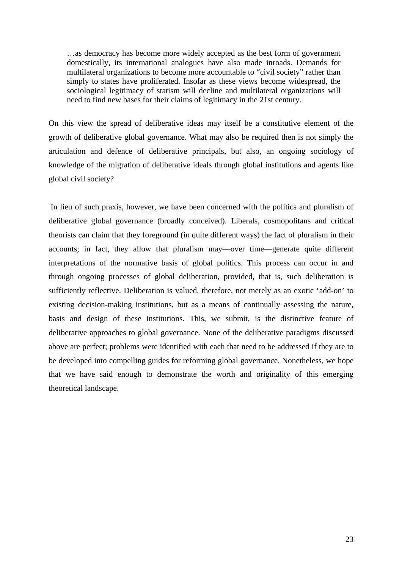…as democracy has become more widely accepted as the best form of government domestically, its international analogues have also made inroads. Demands for multilateral organizations to become more accountable to "civil society" rather than simply to states have proliferated. Insofar as these views become widespread, the sociological legitimacy of statism will decline and multilateral organizations will need to find new bases for their claims of legitimacy in the 21st century.

On this view the spread of deliberative ideas may itself be a constitutive element of the growth of deliberative global governance. What may also be required then is not simply the articulation and defence of deliberative principals, but also, an ongoing sociology of knowledge of the migration of deliberative ideals through global institutions and agents like global civil society?

 In lieu of such praxis, however, we have been concerned with the politics and pluralism of deliberative global governance (broadly conceived). Liberals, cosmopolitans and critical theorists can claim that they foreground (in quite different ways) the fact of pluralism in their accounts; in fact, they allow that pluralism may––over time––generate quite different interpretations of the normative basis of global politics. This process can occur in and through ongoing processes of global deliberation, provided, that is, such deliberation is sufficiently reflective. Deliberation is valued, therefore, not merely as an exotic 'add-on' to existing decision-making institutions, but as a means of continually assessing the nature, basis and design of these institutions. This, we submit, is the distinctive feature of deliberative approaches to global governance. None of the deliberative paradigms discussed above are perfect; problems were identified with each that need to be addressed if they are to be developed into compelling guides for reforming global governance. Nonetheless, we hope that we have said enough to demonstrate the worth and originality of this emerging theoretical landscape.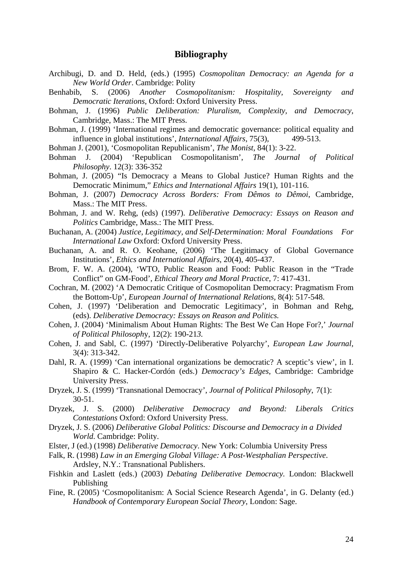## **Bibliography**

- Archibugi, D. and D. Held, (eds.) (1995) *Cosmopolitan Democracy: an Agenda for a New World Order*. Cambridge: Polity
- Benhabib, S. (2006) *Another Cosmopolitanism: Hospitality, Sovereignty and Democratic Iterations*, Oxford: Oxford University Press.
- Bohman, J. (1996) *Public Deliberation: Pluralism, Complexity, and Democracy*, Cambridge, Mass.: The MIT Press.
- Bohman, J. (1999) 'International regimes and democratic governance: political equality and influence in global institutions', *International Affairs*, 75(3), 499-513.
- Bohman J. (2001), 'Cosmopolitan Republicanism', *The Monist*, 84(1): 3-22.
- Bohman J. (2004) 'Republican Cosmopolitanism', *The Journal of Political Philosophy*. 12(3): 336-352
- Bohman, J. (2005) "Is Democracy a Means to Global Justice? Human Rights and the Democratic Minimum," *Ethics and International Affairs* 19(1), 101-116.
- Bohman, J. (2007) *Democracy Across Borders: From Dêmos to Dêmoi*, Cambridge, Mass.: The MIT Press.
- Bohman, J. and W. Rehg, (eds) (1997). *Deliberative Democracy: Essays on Reason and Politics* Cambridge, Mass.: The MIT Press.
- Buchanan, A. (2004) *Justice, Legitimacy, and Self-Determination: Moral Foundations For International Law* Oxford: Oxford University Press.
- Buchanan, A. and R. O. Keohane, (2006) 'The Legitimacy of Global Governance Institutions', *Ethics and International Affairs*, 20(4), 405-437.
- Brom, F. W. A. (2004), 'WTO, Public Reason and Food: Public Reason in the "Trade Conflict" on GM-Food', *Ethical Theory and Moral Practice*, 7: 417-431.
- Cochran, M. (2002) 'A Democratic Critique of Cosmopolitan Democracy: Pragmatism From the Bottom-Up', *European Journal of International Relations,* 8(4): 517-548.
- Cohen, J. (1997) 'Deliberation and Democratic Legitimacy', in Bohman and Rehg, (eds). *Deliberative Democracy: Essays on Reason and Politics.*
- Cohen, J. (2004) 'Minimalism About Human Rights: The Best We Can Hope For?,' *Journal of Political Philosoph*y, 12(2): 190-21*3.*
- Cohen, J. and Sabl, C. (1997) 'Directly-Deliberative Polyarchy', *European Law Journal,*  3(4): 313-342.
- Dahl, R. A. (1999) 'Can international organizations be democratic? A sceptic's view', in I. Shapiro & C. Hacker-Cordón (eds.) *Democracy's Edges*, Cambridge: Cambridge University Press.
- Dryzek, J. S. (1999) 'Transnational Democracy', *Journal of Political Philosophy*, 7(1): 30-51.
- Dryzek, J. S. (2000) *Deliberative Democracy and Beyond: Liberals Critics Contestations* Oxford: Oxford University Press.
- Dryzek, J. S. (2006) *Deliberative Global Politics: Discourse and Democracy in a Divided World*. Cambridge: Polity.
- Elster, J (ed.) (1998) *Deliberative Democracy*. New York: Columbia University Press
- Falk, R. (1998) *Law in an Emerging Global Village: A Post-Westphalian Perspective*. Ardsley, N.Y.: Transnational Publishers.
- Fishkin and Laslett (eds.) (2003) *Debating Deliberative Democracy.* London: Blackwell Publishing
- Fine, R. (2005) 'Cosmopolitanism: A Social Science Research Agenda', in G. Delanty (ed.) *Handbook of Contemporary European Social Theory*, London: Sage.